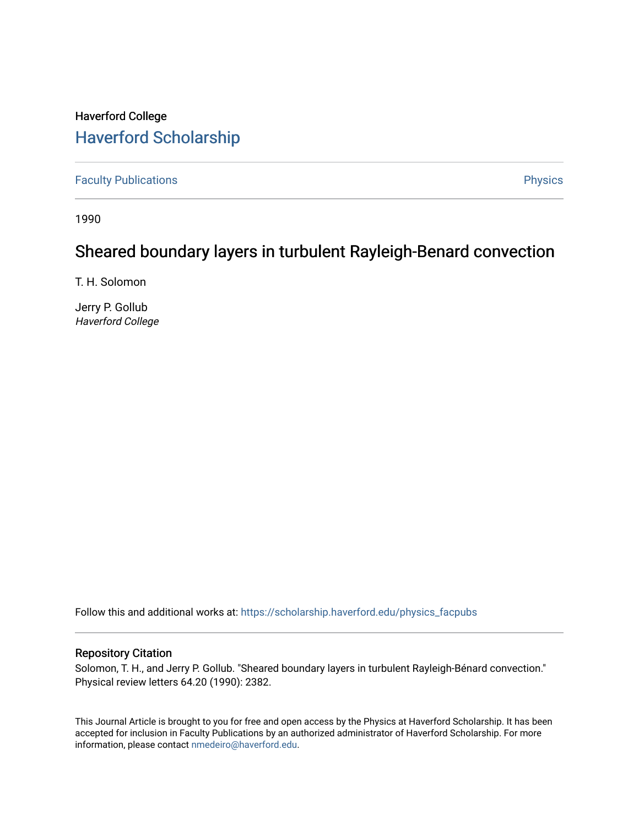## Haverford College [Haverford Scholarship](https://scholarship.haverford.edu/)

[Faculty Publications](https://scholarship.haverford.edu/physics_facpubs) **Physics** 

1990

## Sheared boundary layers in turbulent Rayleigh-Benard convection

T. H. Solomon

Jerry P. Gollub Haverford College

Follow this and additional works at: [https://scholarship.haverford.edu/physics\\_facpubs](https://scholarship.haverford.edu/physics_facpubs?utm_source=scholarship.haverford.edu%2Fphysics_facpubs%2F31&utm_medium=PDF&utm_campaign=PDFCoverPages) 

## Repository Citation

Solomon, T. H., and Jerry P. Gollub. "Sheared boundary layers in turbulent Rayleigh-Bénard convection." Physical review letters 64.20 (1990): 2382.

This Journal Article is brought to you for free and open access by the Physics at Haverford Scholarship. It has been accepted for inclusion in Faculty Publications by an authorized administrator of Haverford Scholarship. For more information, please contact [nmedeiro@haverford.edu.](mailto:nmedeiro@haverford.edu)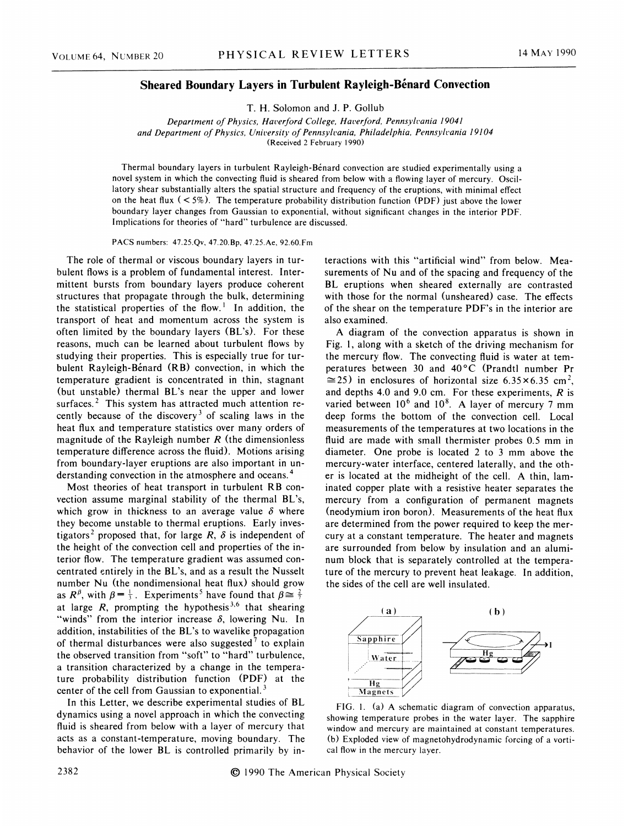## Sheared Boundary Layers in Turbulent Rayleigh-Bénard Convection

T. H. Solomon and J. P. Gollub

Department of Physics, Haverford College, Haverford, Pennsylvania 19041 and Department of Physics, University of Pennsylvania, Philadelphia, Pennsylvania 19104 (Received 2 February 1990)

Thermal boundary layers in turbulent Rayleigh-Benard convection are studied experimentally using a novel system in which the convecting fluid is sheared from below with a flowing layer of mercury. Oscillatory shear substantially alters the spatial structure and frequency of the eruptions, with minimal effect on the heat flux  $(< 5\%)$ . The temperature probability distribution function (PDF) just above the lower boundary layer changes from Gaussian to exponential, without significant changes in the interior PDF. Implications for theories of "hard" turbulence are discussed.

PACS numbers: 47.25.Qv, 47.20.Bp, 47.25.Ae, 92.60.Fm

The role of thermal or viscous boundary layers in turbulent flows is a problem of fundamental interest. Intermittent bursts from boundary layers produce coherent structures that propagate through the bulk, determining the statistical properties of the flow.<sup>1</sup> In addition, the transport of heat and momentum across the system is often limited by the boundary layers (BL's). For these reasons, much can be learned about turbulent flows by studying their properties. This is especially true for turbulent Rayleigh-Bénard (RB) convection, in which the temperature gradient is concentrated in thin, stagnant (but unstable) thermal BL's near the upper and lower surfaces.<sup>2</sup> This system has attracted much attention recently because of the discovery<sup>3</sup> of scaling laws in the heat flux and temperature statistics over many orders of magnitude of the Rayleigh number  $R$  (the dimensionless temperature difference across the fluid). Motions arising from boundary-layer eruptions are also important in understanding convection in the atmosphere and oceans.

Most theories of heat transport in turbulent RB convection assume marginal stability of the thermal BL's, which grow in thickness to an average value  $\delta$  where they become unstable to thermal eruptions. Early investigators<sup>2</sup> proposed that, for large R,  $\delta$  is independent of the height of the convection cell and properties of the interior flow. The temperature gradient was assumed concentrated entirely in the BL's, and as a result the Nusselt number Nu (the nondimensional heat flux) should grow as  $R^{\beta}$ , with  $\beta = \frac{1}{3}$ . Experiments<sup>5</sup> have found that  $\beta \approx \frac{2}{7}$ at large  $R$ , prompting the hypothesis<sup>3,6</sup> that shearin "winds" from the interior increase  $\delta$ , lowering Nu. In addition, instabilities of the BL's to wavelike propagation of thermal disturbances were also suggested<sup>7</sup> to explain the observed transition from "soft" to "hard" turbulence, a transition characterized by a change in the temperature probability distribution function (PDF) at the center of the cell from Gaussian to exponential.<sup>3</sup>

In this Letter, we describe experimental studies of BL dynamics using a novel approach in which the convecting fluid is sheared from below with a layer of mercury that acts as a constant-temperature, moving boundary. The behavior of the lower BL is controlled primarily by interactions with this "artificial wind" from below. Measurements of Nu and of the spacing and frequency of the BL eruptions when sheared externally are contrasted with those for the normal (unsheared) case. The effects of the shear on the temperature PDF's in the interior are also examined.

A diagram of the convection apparatus is shown in Fig. 1, along with a sketch of the driving mechanism for the mercury flow. The convecting fluid is water at temperatures between 30 and 40'C (Prandtl number Pr  $\approx$  25) in enclosures of horizontal size 6.35×6.35 cm<sup>2</sup>, and depths 4.0 and 9.0 cm. For these experiments,  $R$  is varied between  $10^6$  and  $10^8$ . A layer of mercury 7 mm deep forms the bottom of the convection cell. Local measurements of the temperatures at two locations in the fluid are made with small thermister probes 0.5 mm in diameter. One probe is located 2 to 3 mm above the mercury-water interface, centered laterally, and the other is located at the midheight of the cell. A thin, laminated copper plate with a resistive heater separates the mercury from a configuration of permanent magnets (neodymium iron boron). Measurements of the heat flux are determined from the power required to keep the mercury at a constant temperature. The heater and magnets are surrounded from below by insulation and an aluminum block that is separately controlled at the temperature of the mercury to prevent heat leakage. In addition, the sides of the cell are well insulated.



FIG. 1. (a) A schematic diagram of convection apparatus, showing temperature probes in the water layer. The sapphire window and mercury are maintained at constant temperatures. (b) Exploded view of magnetohydrodynamic forcing of a vortical flow in the mercury layer.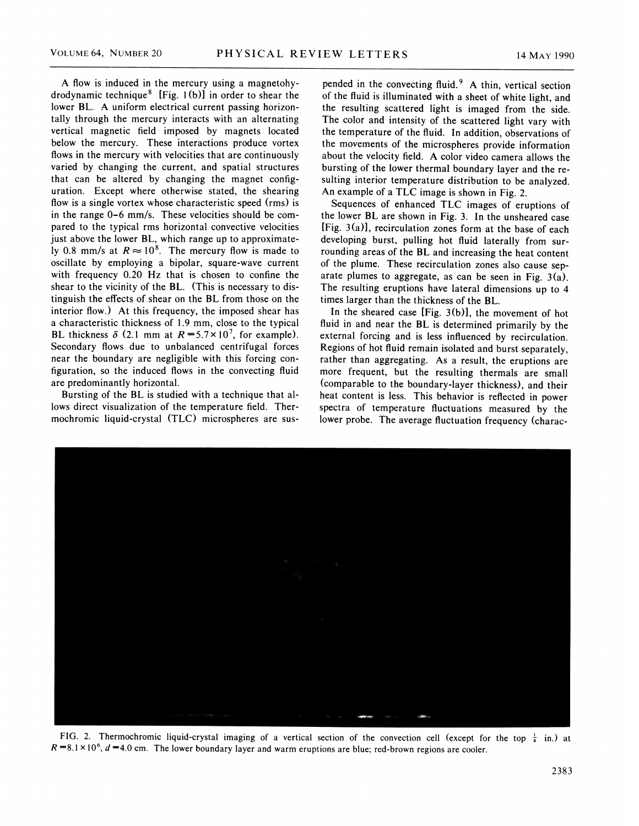A flow is induced in the mercury using a magnetohydrodynamic technique<sup>8</sup> [Fig. 1(b)] in order to shear the lower BL. A uniform electrical current passing horizontally through the mercury interacts with an alternating vertical magnetic field imposed by magnets located below the mercury. These interactions produce vortex flows in the mercury with velocities that are continuously varied by changing the current, and spatial structures that can be altered by changing the magnet configuration. Except where otherwise stated, the shearing flow is a single vortex whose characteristic speed (rms) is in the range 0-6 mm/s. These velocities should be compared to the typical rms horizontal convective velocities just above the lower BL, which range up to approximately 0.8 mm/s at  $R \approx 10^8$ . The mercury flow is made to oscillate by employing a bipolar, square-wave current with frequency 0.20 Hz that is chosen to confine the shear to the vicinity of the BL. (This is necessary to distinguish the effects of shear on the BL from those on the interior flow.) At this frequency, the imposed shear has a characteristic thickness of 1.9 mm, close to the typical BL thickness  $\delta$  (2.1 mm at  $R = 5.7 \times 10^7$ , for example). Secondary flows due to unbalanced centrifugal forces near the boundary are negligible with this forcing configuration, so the induced flows in the convecting fluid are predominantly horizontal.

Bursting of the BL is studied with a technique that allows direct visualization of the temperature field. Thermochromic liquid-crystal (TLC) microspheres are sus-

pended in the convecting fluid. $9$  A thin, vertical section of the fluid is illuminated with a sheet of white light, and the resulting scattered light is imaged from the side. The color and intensity of the scattered light vary with the temperature of the fluid. In addition, observations of the movements of the microspheres provide information about the velocity field. A color video camera allows the bursting of the lower thermal boundary layer and the resulting interior temperature distribution to be analyzed. An example of a TLC image is shown in Fig. 2.

Sequences of enhanced TLC images of eruptions of the lower BL are shown in Fig. 3. In the unsheared case [Fig. 3(a)], recirculation zones form at the base of each developing burst, pulling hot fluid laterally from surrounding areas of the BL and increasing the heat content of the plume. These recirculation zones also cause separate plumes to aggregate, as can be seen in Fig. 3(a). The resulting eruptions have lateral dimensions up to 4 times larger than the thickness of the BL.

In the sheared case [Fig. 3(b)], the movement of hot fluid in and near the BL is determined primarily by the external forcing and is less influenced by recirculation. Regions of hot fluid remain isolated and burst separately, rather than aggregating. As a result, the eruptions are more frequent, but the resulting thermals are small (comparable to the boundary-layer thickness), and their heat content is less. This behavior is reflected in power spectra of temperature fluctuations measured by the lower probe. The average fluctuation frequency (charac-



FIG. 2. Thermochromic liquid-crystal imaging of a vertical section of the convection cell (except for the top  $\frac{1}{4}$  in.) at  $R = 8.1 \times 10^6$ ,  $d = 4.0$  cm. The lower boundary layer and warm eruptions are blue; red-brown regions are cooler.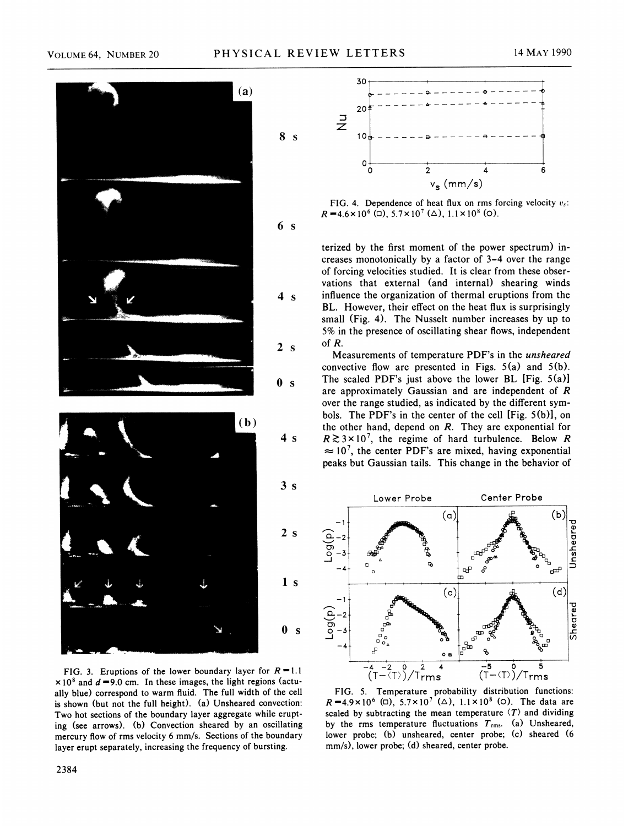

FIG. 3. Eruptions of the lower boundary layer for  $R = 1.1$  $\times$ 10<sup>8</sup> and  $d = 9.0$  cm. In these images, the light regions (actually blue) correspond to warm fiuid. The full width of the cell is shown (but not the full height). (a) Unsheared convection: Two hot sections of the boundary layer aggregate while erupting (see arrows). (b) Convection sheared by an oscillating mercury flow of rms velocity 6 mm/s. Sections of the boundary layer erupt separately, increasing the frequency of bursting.



FIG. 4. Dependence of heat flux on rms forcing velocity  $v_s$ .  $R = 4.6 \times 10^6$  (d),  $5.7 \times 10^7$  ( $\Delta$ ),  $1.1 \times 10^8$  (o).

terized by the first moment of the power spectrum) increases monotonically by a factor of 3-4 over the range of forcing velocities studied. It is clear from these observations that external (and internal) shearing winds influence the organization of thermal eruptions from the BL. However, their effect on the heat flux is surprisingly small (Fig. 4). The Nusselt number increases by up to 5% in the presence of oscillating shear flows, independent of R.

Measurements of temperature PDF's in the unsheared convective flow are presented in Figs.  $5(a)$  and  $5(b)$ . The scaled PDF's just above the lower BL [Fig. 5(a)] are approximately Gaussian and are independent of R over the range studied, as indicated by the different symbols. The PDF's in the center of the cell [Fig. 5(b)], on the other hand, depend on  $R$ . They are exponential for  $R \gtrsim 3 \times 10^7$ , the regime of hard turbulence. Below R  $\approx 10^7$ , the center PDF's are mixed, having exponential peaks but Gaussian tails. This change in the behavior of



FIG. 5. Temperature probability distribution functions:  $R = 4.9 \times 10^6$  (0),  $5.7 \times 10^7$  ( $\triangle$ ),  $1.1 \times 10^8$  (0). The data are scaled by subtracting the mean temperature  $\langle T \rangle$  and dividing by the rms temperature fluctuations  $T_{\text{rms}}$ . (a) Unsheared, lower probe; (b) unsheared, center probe; (c) sheared (6 mm/s), lower probe; (d) sheared, center probe.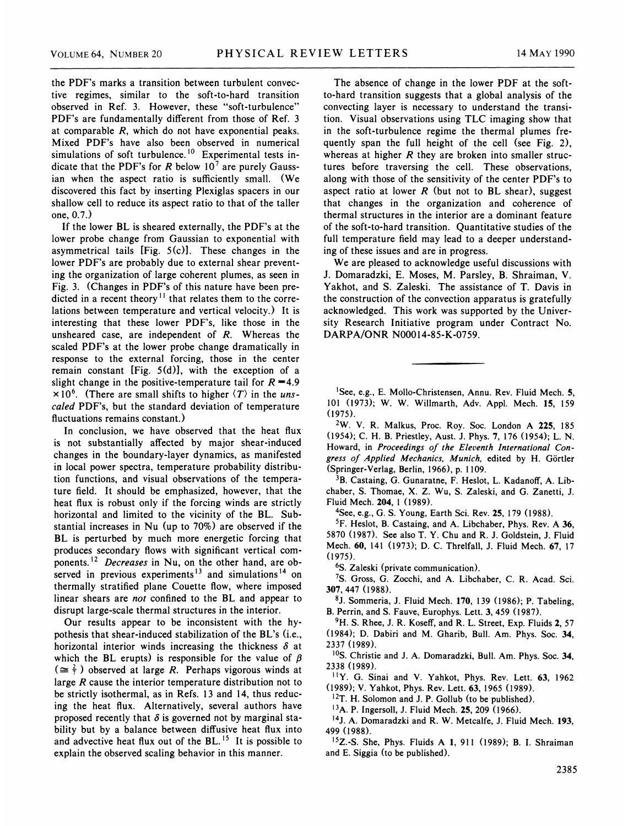the PDF's marks a transition between turbulent convective regimes, similar to the soft-to-hard transition observed in Ref. 3. However, these "soft-turbulence" PDF's are fundamentally different from those of Ref. 3 at comparable R, which do not have exponential peaks. Mixed PDF's have also been observed in numerical simulations of soft turbulence.<sup>10</sup> Experimental tests indicate that the PDF's for R below  $10^7$  are purely Gaussian when the aspect ratio is sufficiently small. (We discovered this fact by inserting Plexiglas spacers in our shallow cell to reduce its aspect ratio to that of the taller one, 0.7.)

If the lower BL is sheared externally, the PDF's at the lower probe change from Gaussian to exponential with asymmetrical tails [Fig. 5(c)l. These changes in the lower PDF's are probably due to external shear preventing the organization of large coherent plumes, as seen in Fig. 3. (Changes in PDF's of this nature have been predicted in a recent theory<sup>11</sup> that relates them to the correlations between temperature and vertical velocity.) It is interesting that these lower PDF's, like those in the unsheared case, are independent of R. Whereas the scaled PDF's at the lower probe change dramatically in response to the external forcing, those in the center remain constant [Fig. 5(d)], with the exception of a slight change in the positive-temperature tail for  $R = 4.9$  $\times 10^6$ . (There are small shifts to higher  $\langle T \rangle$  in the unscaled PDF's, but the standard deviation of temperature fluctuations remains constant.)

In conclusion, we have observed that the heat flux is not substantially affected by major shear-induced changes in the boundary-layer dynamics, as manifested in local power spectra, temperature probability distribution functions, and visual observations of the temperature field. It should be emphasized, however, that the heat flux is robust only if the forcing winds are strictly horizontal and limited to the vicinity of the BL. Substantial increases in Nu (up to 70%) are observed if the BL is perturbed by much more energetic forcing that produces secondary flows with significant vertical components.<sup>12</sup> Decreases in Nu, on the other hand, are observed in previous experiments<sup>13</sup> and simulations<sup>14</sup> on thermally stratified plane Couette flow, where imposed linear shears are not confined to the BL and appear to disrupt large-scale thermal structures in the interior.

Our results appear to be inconsistent with the hypothesis that shear-induced stabilization of the BL's (i.e., horizontal interior winds increasing the thickness  $\delta$  at which the BL erupts) is responsible for the value of  $\beta$  $(\cong \frac{2}{7})$  observed at large R. Perhaps vigorous winds at large R cause the interior temperature distribution not to be strictly isothermal, as in Refs. 13 and 14, thus reducing the heat flux. Alternatively, several authors have proposed recently that  $\delta$  is governed not by marginal stability but by a balance between diffusive heat flux into and advective heat flux out of the BL.<sup>15</sup> It is possible to explain the observed scaling behavior in this manner.

The absence of change in the lower PDF at the softto-hard transition suggests that a global analysis of the convecting layer is necessary to understand the transition. Visual observations using TLC imaging show that in the soft-turbulence regime the thermal plumes frequently span the full height of the cell (see Fig. 2), whereas at higher  $R$  they are broken into smaller structures before traversing the cell. These observations, along with those of the sensitivity of the center PDF's to aspect ratio at lower  $R$  (but not to BL shear), suggest that changes in the organization and coherence of thermal structures in the interior are a dominant feature of the soft-to-hard transition. Quantitative studies of the full temperature field may lead to a deeper understanding of these issues and are in progress.

We are pleased to acknowledge useful discussions with J. Domaradzki, E. Moses, M. Parsley, B. Shraiman, V. Yakhot, and S. Zaleski. The assistance of T. Davis in the construction of the convection apparatus is gratefully acknowledged. This work was supported by the University Research Initiative program under Contract No. DARPA/ONR N00014-85-K-0759.

'See, e.g., E. Mollo-Christensen, Annu. Rev. Fluid Mech. 5, 101 (1973); W. W. Willmarth, Adv. Appl. Mech. 15, 159 (1975).

 $2W$ . V. R. Malkus, Proc. Roy. Soc. London A 225, 185 (1954); C. H. B. Priestley, Aust. J. Phys. '7, 176 (1954); L. N. Howard, in Proceedings of the Eleventh 1nternational Con gress of Applied Mechanics, Munich, edited by H. Görtler (Springer-Verlag, Berlin, 1966), p. 1109.

<sup>3</sup>B. Castaing, G. Gunaratne, F. Heslot, L. Kadanoff, A. Libchaber, S. Thomae, X. Z. Wu, S. Zaleski, and G. Zanetti, J. Fluid Mech. 204, <sup>1</sup> (1989).

<sup>4</sup>See, e.g., G. S. Young, Earth Sci. Rev. 25, 179 (1988).

<sup>5</sup>F. Heslot, B. Castaing, and A. Libchaber, Phys. Rev. A 36, 5870 (1987). See also T. Y. Chu and R. J. Goldstein, J. Fluid Mech. 60, 141 (1973); D. C. Threlfall, J. Fluid Mech. 67, 17 (1975).

<sup>6</sup>S. Zaleski (private communication).

7S. Gross, G. Zocchi, and A. Libchaber, C. R. Acad. Sci. 307, 447 (1988).

 $8J.$  Sommeria, J. Fluid Mech. 170, 139 (1986); P. Tabeling, B. Perrin, and S. Fauve, Europhys. Lett. 3, 459 (1987).

<sup>9</sup>H. S. Rhee, J. R. Koseff, and R. L. Street, Exp. Fluids 2, 57 (1984); D. Dabiri and M. Gharib, Bull. Am. Phys. Soc. 34, 2337 (1989).

<sup>10</sup>S. Christie and J. A. Domaradzki, Bull. Am. Phys. Soc. 34, 2338 (1989).

''Y. G. Sinai and V. Yahkot, Phys. Rev. Lett. 63, <sup>1962</sup> (1989);V. Yahkot, Phys. Rev. Lett. 63, 1965 (1989).

'2T. H. Solomon and J. P. Gollub (to be published).

<sup>13</sup>A. P. Ingersoll, J. Fluid Mech. **25**, 209 (1966).

'4J. A. Domaradzki and R. W. Metcalfe, J. Fluid Mech. 193, 499 (1988).

 $15Z$ . -S. She, Phys. Fluids A 1, 911 (1989); B. I. Shraiman and E. Siggia (to be published).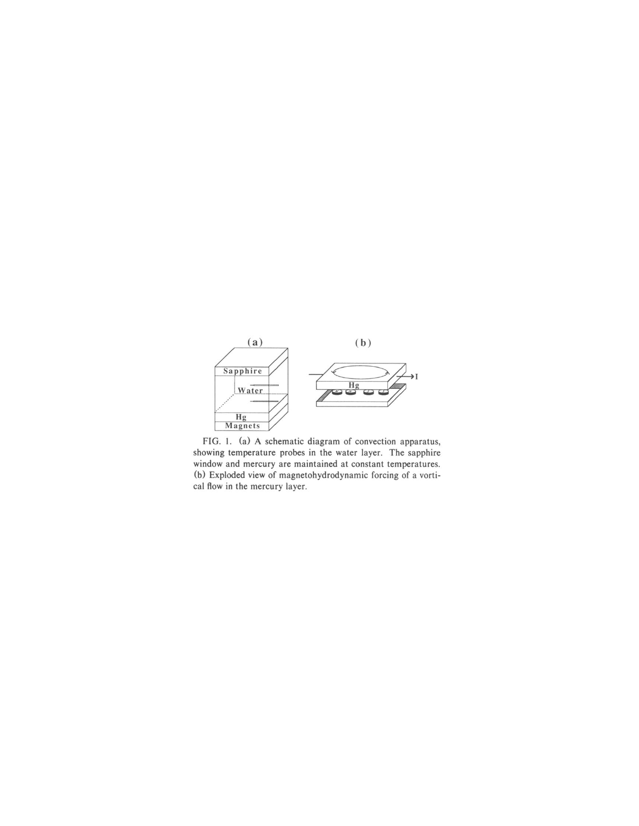

FIG. 1. (a) A schematic diagram of convection apparatus, showing temperature probes in the water layer. The sapphire window and mercury are maintained at constant temperatures. (b) Exploded view of magnetohydrodynamic forcing of a vortical flow in the mercury layer.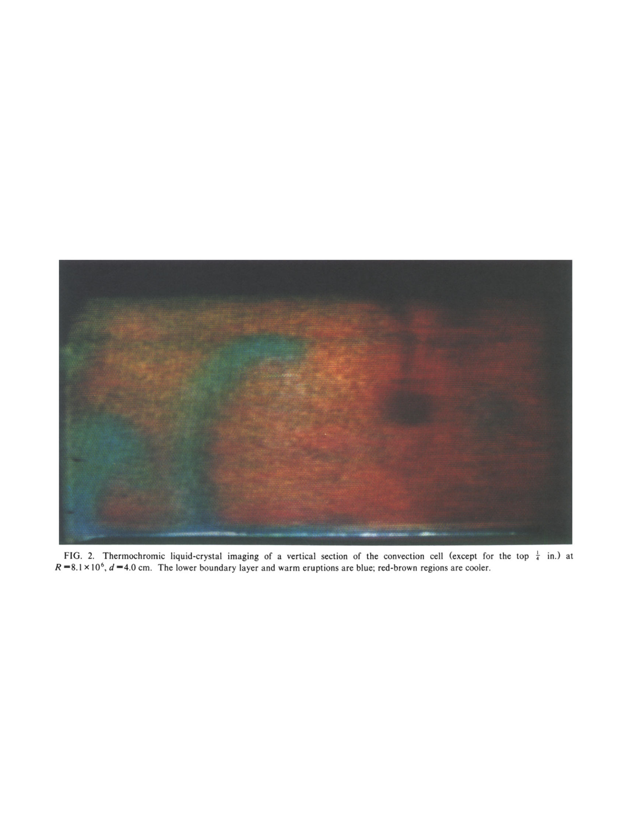

FIG. 2. Thermochromic liquid-crystal imaging of a vertical section of the convection cell (except for the top  $\frac{1}{4}$  in.) at  $R = 8.1 \times 10^6$ ,  $d = 4.0$  cm. The lower boundary layer and warm eruptions are blue; red-brown